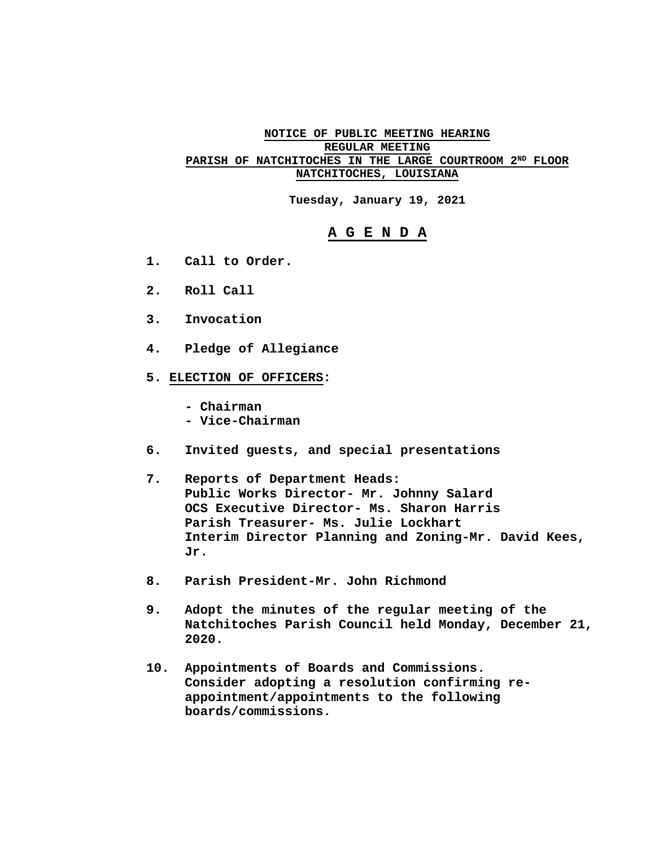## **NOTICE OF PUBLIC MEETING HEARING REGULAR MEETING PARISH OF NATCHITOCHES IN THE LARGE COURTROOM 2ND FLOOR NATCHITOCHES, LOUISIANA**

**Tuesday, January 19, 2021** 

## **A G E N D A**

- **1. Call to Order.**
- **2. Roll Call**
- **3. Invocation**
- **4. Pledge of Allegiance**
- **5. ELECTION OF OFFICERS:** 
	- **Chairman**
	- **Vice-Chairman**
- **6. Invited guests, and special presentations**
- **7. Reports of Department Heads: Public Works Director- Mr. Johnny Salard OCS Executive Director- Ms. Sharon Harris Parish Treasurer- Ms. Julie Lockhart Interim Director Planning and Zoning-Mr. David Kees, Jr.**
- **8. Parish President-Mr. John Richmond**
- **9. Adopt the minutes of the regular meeting of the Natchitoches Parish Council held Monday, December 21, 2020.**
- **10. Appointments of Boards and Commissions. Consider adopting a resolution confirming re appointment/appointments to the following boards/commissions.**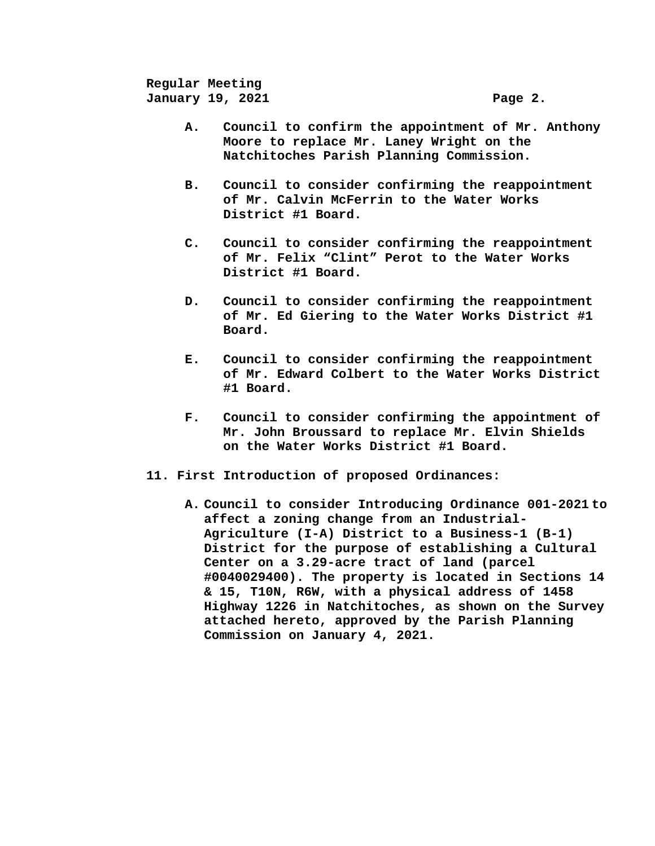**Regular Meeting January 19, 2021 Page 2.** 

- **A. Council to confirm the appointment of Mr. Anthony Moore to replace Mr. Laney Wright on the Natchitoches Parish Planning Commission.**
- **B. Council to consider confirming the reappointment of Mr. Calvin McFerrin to the Water Works District #1 Board.**
- **C. Council to consider confirming the reappointment of Mr. Felix "Clint" Perot to the Water Works District #1 Board.**
- **D. Council to consider confirming the reappointment of Mr. Ed Giering to the Water Works District #1 Board.**
- **E. Council to consider confirming the reappointment of Mr. Edward Colbert to the Water Works District #1 Board.**
- **F. Council to consider confirming the appointment of Mr. John Broussard to replace Mr. Elvin Shields on the Water Works District #1 Board.**
- **11. First Introduction of proposed Ordinances:** 
	- **A. Council to consider Introducing Ordinance 001-2021 to affect a zoning change from an Industrial-Agriculture (I-A) District to a Business-1 (B-1) District for the purpose of establishing a Cultural Center on a 3.29-acre tract of land (parcel #0040029400). The property is located in Sections 14 & 15, T10N, R6W, with a physical address of 1458 Highway 1226 in Natchitoches, as shown on the Survey attached hereto, approved by the Parish Planning Commission on January 4, 2021.**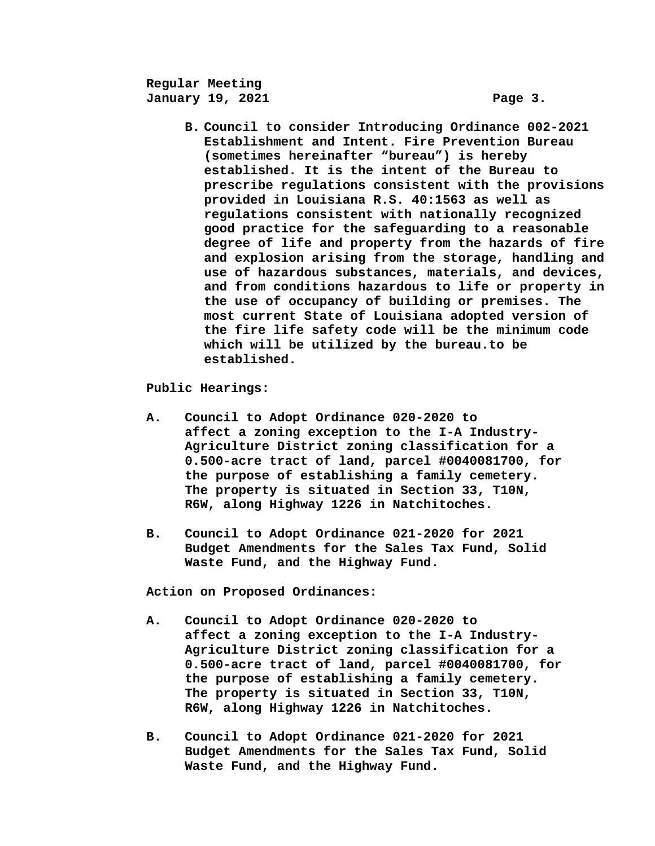**Regular Meeting January 19, 2021 Page 3.** 

**B. Council to consider Introducing Ordinance 002-2021 Establishment and Intent. Fire Prevention Bureau (sometimes hereinafter "bureau") is hereby established. It is the intent of the Bureau to prescribe regulations consistent with the provisions provided in Louisiana R.S. 40:1563 as well as regulations consistent with nationally recognized good practice for the safeguarding to a reasonable degree of life and property from the hazards of fire and explosion arising from the storage, handling and use of hazardous substances, materials, and devices, and from conditions hazardous to life or property in the use of occupancy of building or premises. The most current State of Louisiana adopted version of the fire life safety code will be the minimum code which will be utilized by the bureau.to be established.** 

**Public Hearings:** 

- **A. Council to Adopt Ordinance 020-2020 to affect a zoning exception to the I-A Industry- Agriculture District zoning classification for a 0.500-acre tract of land, parcel #0040081700, for the purpose of establishing a family cemetery. The property is situated in Section 33, T10N, R6W, along Highway 1226 in Natchitoches.**
- **B. Council to Adopt Ordinance 021-2020 for 2021 Budget Amendments for the Sales Tax Fund, Solid Waste Fund, and the Highway Fund.**

**Action on Proposed Ordinances:** 

- **A. Council to Adopt Ordinance 020-2020 to affect a zoning exception to the I-A Industry- Agriculture District zoning classification for a 0.500-acre tract of land, parcel #0040081700, for the purpose of establishing a family cemetery. The property is situated in Section 33, T10N, R6W, along Highway 1226 in Natchitoches.**
- **B. Council to Adopt Ordinance 021-2020 for 2021 Budget Amendments for the Sales Tax Fund, Solid Waste Fund, and the Highway Fund.**